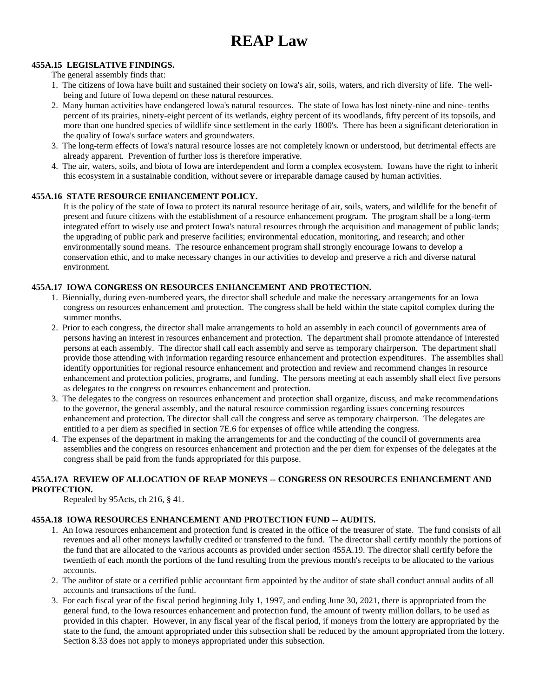# **REAP Law**

#### **455A.15 LEGISLATIVE FINDINGS.**

The general assembly finds that:

- 1. The citizens of Iowa have built and sustained their society on Iowa's air, soils, waters, and rich diversity of life. The wellbeing and future of Iowa depend on these natural resources.
- 2. Many human activities have endangered Iowa's natural resources. The state of Iowa has lost ninety-nine and nine- tenths percent of its prairies, ninety-eight percent of its wetlands, eighty percent of its woodlands, fifty percent of its topsoils, and more than one hundred species of wildlife since settlement in the early 1800's. There has been a significant deterioration in the quality of Iowa's surface waters and groundwaters.
- 3. The long-term effects of Iowa's natural resource losses are not completely known or understood, but detrimental effects are already apparent. Prevention of further loss is therefore imperative.
- 4. The air, waters, soils, and biota of Iowa are interdependent and form a complex ecosystem. Iowans have the right to inherit this ecosystem in a sustainable condition, without severe or irreparable damage caused by human activities.

#### **455A.16 STATE RESOURCE ENHANCEMENT POLICY.**

It is the policy of the state of Iowa to protect its natural resource heritage of air, soils, waters, and wildlife for the benefit of present and future citizens with the establishment of a resource enhancement program. The program shall be a long-term integrated effort to wisely use and protect Iowa's natural resources through the acquisition and management of public lands; the upgrading of public park and preserve facilities; environmental education, monitoring, and research; and other environmentally sound means. The resource enhancement program shall strongly encourage Iowans to develop a conservation ethic, and to make necessary changes in our activities to develop and preserve a rich and diverse natural environment.

#### **455A.17 IOWA CONGRESS ON RESOURCES ENHANCEMENT AND PROTECTION.**

- 1. Biennially, during even-numbered years, the director shall schedule and make the necessary arrangements for an Iowa congress on resources enhancement and protection. The congress shall be held within the state capitol complex during the summer months.
- 2. Prior to each congress, the director shall make arrangements to hold an assembly in each council of governments area of persons having an interest in resources enhancement and protection. The department shall promote attendance of interested persons at each assembly. The director shall call each assembly and serve as temporary chairperson. The department shall provide those attending with information regarding resource enhancement and protection expenditures. The assemblies shall identify opportunities for regional resource enhancement and protection and review and recommend changes in resource enhancement and protection policies, programs, and funding. The persons meeting at each assembly shall elect five persons as delegates to the congress on resources enhancement and protection.
- 3. The delegates to the congress on resources enhancement and protection shall organize, discuss, and make recommendations to the governor, the general assembly, and the natural resource commission regarding issues concerning resources enhancement and protection. The director shall call the congress and serve as temporary chairperson. The delegates are entitled to a per diem as specified in section 7E.6 for expenses of office while attending the congress.
- 4. The expenses of the department in making the arrangements for and the conducting of the council of governments area assemblies and the congress on resources enhancement and protection and the per diem for expenses of the delegates at the congress shall be paid from the funds appropriated for this purpose.

#### **455A.17A REVIEW OF ALLOCATION OF REAP MONEYS -- CONGRESS ON RESOURCES ENHANCEMENT AND PROTECTION.**

Repealed by 95Acts, ch 216, § 41.

## **455A.18 IOWA RESOURCES ENHANCEMENT AND PROTECTION FUND -- AUDITS.**

- 1. An Iowa resources enhancement and protection fund is created in the office of the treasurer of state. The fund consists of all revenues and all other moneys lawfully credited or transferred to the fund. The director shall certify monthly the portions of the fund that are allocated to the various accounts as provided under section 455A.19. The director shall certify before the twentieth of each month the portions of the fund resulting from the previous month's receipts to be allocated to the various accounts.
- 2. The auditor of state or a certified public accountant firm appointed by the auditor of state shall conduct annual audits of all accounts and transactions of the fund.
- 3. For each fiscal year of the fiscal period beginning July 1, 1997, and ending June 30, 2021, there is appropriated from the general fund, to the Iowa resources enhancement and protection fund, the amount of twenty million dollars, to be used as provided in this chapter. However, in any fiscal year of the fiscal period, if moneys from the lottery are appropriated by the state to the fund, the amount appropriated under this subsection shall be reduced by the amount appropriated from the lottery. Section 8.33 does not apply to moneys appropriated under this subsection.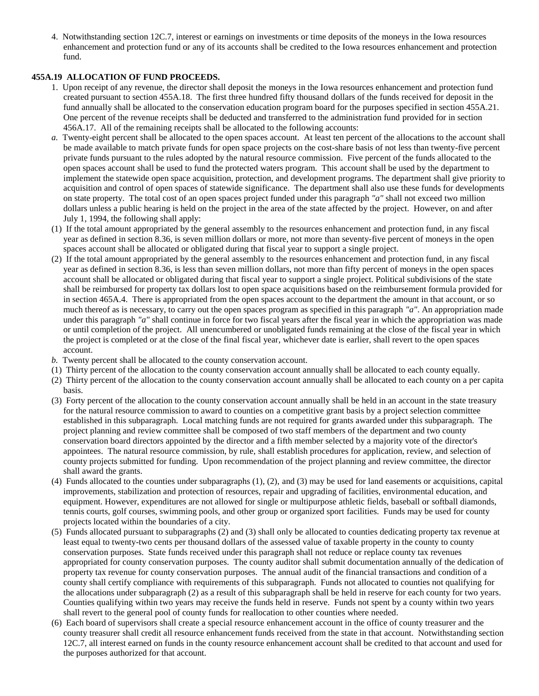4. Notwithstanding section 12C.7, interest or earnings on investments or time deposits of the moneys in the Iowa resources enhancement and protection fund or any of its accounts shall be credited to the Iowa resources enhancement and protection fund.

#### **455A.19 ALLOCATION OF FUND PROCEEDS.**

- 1. Upon receipt of any revenue, the director shall deposit the moneys in the Iowa resources enhancement and protection fund created pursuant to section 455A.18. The first three hundred fifty thousand dollars of the funds received for deposit in the fund annually shall be allocated to the conservation education program board for the purposes specified in section 455A.21. One percent of the revenue receipts shall be deducted and transferred to the administration fund provided for in section 456A.17. All of the remaining receipts shall be allocated to the following accounts:
- *a.* Twenty-eight percent shall be allocated to the open spaces account. At least ten percent of the allocations to the account shall be made available to match private funds for open space projects on the cost-share basis of not less than twenty-five percent private funds pursuant to the rules adopted by the natural resource commission. Five percent of the funds allocated to the open spaces account shall be used to fund the protected waters program. This account shall be used by the department to implement the statewide open space acquisition, protection, and development programs. The department shall give priority to acquisition and control of open spaces of statewide significance. The department shall also use these funds for developments on state property. The total cost of an open spaces project funded under this paragraph *"a"* shall not exceed two million dollars unless a public hearing is held on the project in the area of the state affected by the project. However, on and after July 1, 1994, the following shall apply:
- (1) If the total amount appropriated by the general assembly to the resources enhancement and protection fund, in any fiscal year as defined in section 8.36, is seven million dollars or more, not more than seventy-five percent of moneys in the open spaces account shall be allocated or obligated during that fiscal year to support a single project.
- (2) If the total amount appropriated by the general assembly to the resources enhancement and protection fund, in any fiscal year as defined in section 8.36, is less than seven million dollars, not more than fifty percent of moneys in the open spaces account shall be allocated or obligated during that fiscal year to support a single project. Political subdivisions of the state shall be reimbursed for property tax dollars lost to open space acquisitions based on the reimbursement formula provided for in section 465A.4. There is appropriated from the open spaces account to the department the amount in that account, or so much thereof as is necessary, to carry out the open spaces program as specified in this paragraph *"a"*. An appropriation made under this paragraph *"a"* shall continue in force for two fiscal years after the fiscal year in which the appropriation was made or until completion of the project. All unencumbered or unobligated funds remaining at the close of the fiscal year in which the project is completed or at the close of the final fiscal year, whichever date is earlier, shall revert to the open spaces account.
- *b.* Twenty percent shall be allocated to the county conservation account.
- (1) Thirty percent of the allocation to the county conservation account annually shall be allocated to each county equally.
- (2) Thirty percent of the allocation to the county conservation account annually shall be allocated to each county on a per capita basis.
- (3) Forty percent of the allocation to the county conservation account annually shall be held in an account in the state treasury for the natural resource commission to award to counties on a competitive grant basis by a project selection committee established in this subparagraph. Local matching funds are not required for grants awarded under this subparagraph. The project planning and review committee shall be composed of two staff members of the department and two county conservation board directors appointed by the director and a fifth member selected by a majority vote of the director's appointees. The natural resource commission, by rule, shall establish procedures for application, review, and selection of county projects submitted for funding. Upon recommendation of the project planning and review committee, the director shall award the grants.
- (4) Funds allocated to the counties under subparagraphs (1), (2), and (3) may be used for land easements or acquisitions, capital improvements, stabilization and protection of resources, repair and upgrading of facilities, environmental education, and equipment. However, expenditures are not allowed for single or multipurpose athletic fields, baseball or softball diamonds, tennis courts, golf courses, swimming pools, and other group or organized sport facilities. Funds may be used for county projects located within the boundaries of a city.
- (5) Funds allocated pursuant to subparagraphs (2) and (3) shall only be allocated to counties dedicating property tax revenue at least equal to twenty-two cents per thousand dollars of the assessed value of taxable property in the county to county conservation purposes. State funds received under this paragraph shall not reduce or replace county tax revenues appropriated for county conservation purposes. The county auditor shall submit documentation annually of the dedication of property tax revenue for county conservation purposes. The annual audit of the financial transactions and condition of a county shall certify compliance with requirements of this subparagraph. Funds not allocated to counties not qualifying for the allocations under subparagraph (2) as a result of this subparagraph shall be held in reserve for each county for two years. Counties qualifying within two years may receive the funds held in reserve. Funds not spent by a county within two years shall revert to the general pool of county funds for reallocation to other counties where needed.
- (6) Each board of supervisors shall create a special resource enhancement account in the office of county treasurer and the county treasurer shall credit all resource enhancement funds received from the state in that account. Notwithstanding section 12C.7, all interest earned on funds in the county resource enhancement account shall be credited to that account and used for the purposes authorized for that account.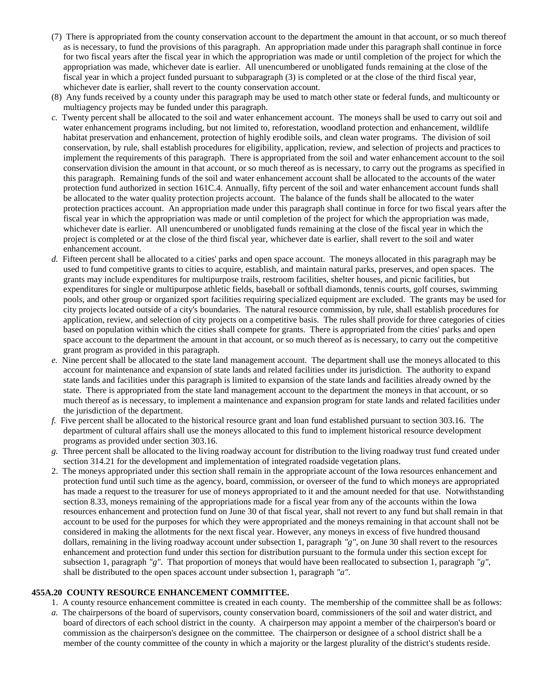- (7) There is appropriated from the county conservation account to the department the amount in that account, or so much thereof as is necessary, to fund the provisions of this paragraph. An appropriation made under this paragraph shall continue in force for two fiscal years after the fiscal year in which the appropriation was made or until completion of the project for which the appropriation was made, whichever date is earlier. All unencumbered or unobligated funds remaining at the close of the fiscal year in which a project funded pursuant to subparagraph (3) is completed or at the close of the third fiscal year, whichever date is earlier, shall revert to the county conservation account.
- (8) Any funds received by a county under this paragraph may be used to match other state or federal funds, and multicounty or multiagency projects may be funded under this paragraph.
- *c.* Twenty percent shall be allocated to the soil and water enhancement account. The moneys shall be used to carry out soil and water enhancement programs including, but not limited to, reforestation, woodland protection and enhancement, wildlife habitat preservation and enhancement, protection of highly erodible soils, and clean water programs. The division of soil conservation, by rule, shall establish procedures for eligibility, application, review, and selection of projects and practices to implement the requirements of this paragraph. There is appropriated from the soil and water enhancement account to the soil conservation division the amount in that account, or so much thereof as is necessary, to carry out the programs as specified in this paragraph. Remaining funds of the soil and water enhancement account shall be allocated to the accounts of the water protection fund authorized in section 161C.4. Annually, fifty percent of the soil and water enhancement account funds shall be allocated to the water quality protection projects account. The balance of the funds shall be allocated to the water protection practices account. An appropriation made under this paragraph shall continue in force for two fiscal years after the fiscal year in which the appropriation was made or until completion of the project for which the appropriation was made, whichever date is earlier. All unencumbered or unobligated funds remaining at the close of the fiscal year in which the project is completed or at the close of the third fiscal year, whichever date is earlier, shall revert to the soil and water enhancement account.
- *d.* Fifteen percent shall be allocated to a cities' parks and open space account. The moneys allocated in this paragraph may be used to fund competitive grants to cities to acquire, establish, and maintain natural parks, preserves, and open spaces. The grants may include expenditures for multipurpose trails, restroom facilities, shelter houses, and picnic facilities, but expenditures for single or multipurpose athletic fields, baseball or softball diamonds, tennis courts, golf courses, swimming pools, and other group or organized sport facilities requiring specialized equipment are excluded. The grants may be used for city projects located outside of a city's boundaries. The natural resource commission, by rule, shall establish procedures for application, review, and selection of city projects on a competitive basis. The rules shall provide for three categories of cities based on population within which the cities shall compete for grants. There is appropriated from the cities' parks and open space account to the department the amount in that account, or so much thereof as is necessary, to carry out the competitive grant program as provided in this paragraph.
- *e.* Nine percent shall be allocated to the state land management account. The department shall use the moneys allocated to this account for maintenance and expansion of state lands and related facilities under its jurisdiction. The authority to expand state lands and facilities under this paragraph is limited to expansion of the state lands and facilities already owned by the state. There is appropriated from the state land management account to the department the moneys in that account, or so much thereof as is necessary, to implement a maintenance and expansion program for state lands and related facilities under the jurisdiction of the department.
- *f.* Five percent shall be allocated to the historical resource grant and loan fund established pursuant to section 303.16. The department of cultural affairs shall use the moneys allocated to this fund to implement historical resource development programs as provided under section 303.16.
- *g.* Three percent shall be allocated to the living roadway account for distribution to the living roadway trust fund created under section 314.21 for the development and implementation of integrated roadside vegetation plans.
- 2. The moneys appropriated under this section shall remain in the appropriate account of the Iowa resources enhancement and protection fund until such time as the agency, board, commission, or overseer of the fund to which moneys are appropriated has made a request to the treasurer for use of moneys appropriated to it and the amount needed for that use. Notwithstanding section 8.33, moneys remaining of the appropriations made for a fiscal year from any of the accounts within the Iowa resources enhancement and protection fund on June 30 of that fiscal year, shall not revert to any fund but shall remain in that account to be used for the purposes for which they were appropriated and the moneys remaining in that account shall not be considered in making the allotments for the next fiscal year. However, any moneys in excess of five hundred thousand dollars, remaining in the living roadway account under subsection 1, paragraph *"g"*, on June 30 shall revert to the resources enhancement and protection fund under this section for distribution pursuant to the formula under this section except for subsection 1, paragraph *"g"*. That proportion of moneys that would have been reallocated to subsection 1, paragraph *"g"*, shall be distributed to the open spaces account under subsection 1, paragraph *"a"*.

#### **455A.20 COUNTY RESOURCE ENHANCEMENT COMMITTEE.**

- 1. A county resource enhancement committee is created in each county. The membership of the committee shall be as follows:
- *a.* The chairpersons of the board of supervisors, county conservation board, commissioners of the soil and water district, and board of directors of each school district in the county. A chairperson may appoint a member of the chairperson's board or commission as the chairperson's designee on the committee. The chairperson or designee of a school district shall be a member of the county committee of the county in which a majority or the largest plurality of the district's students reside.